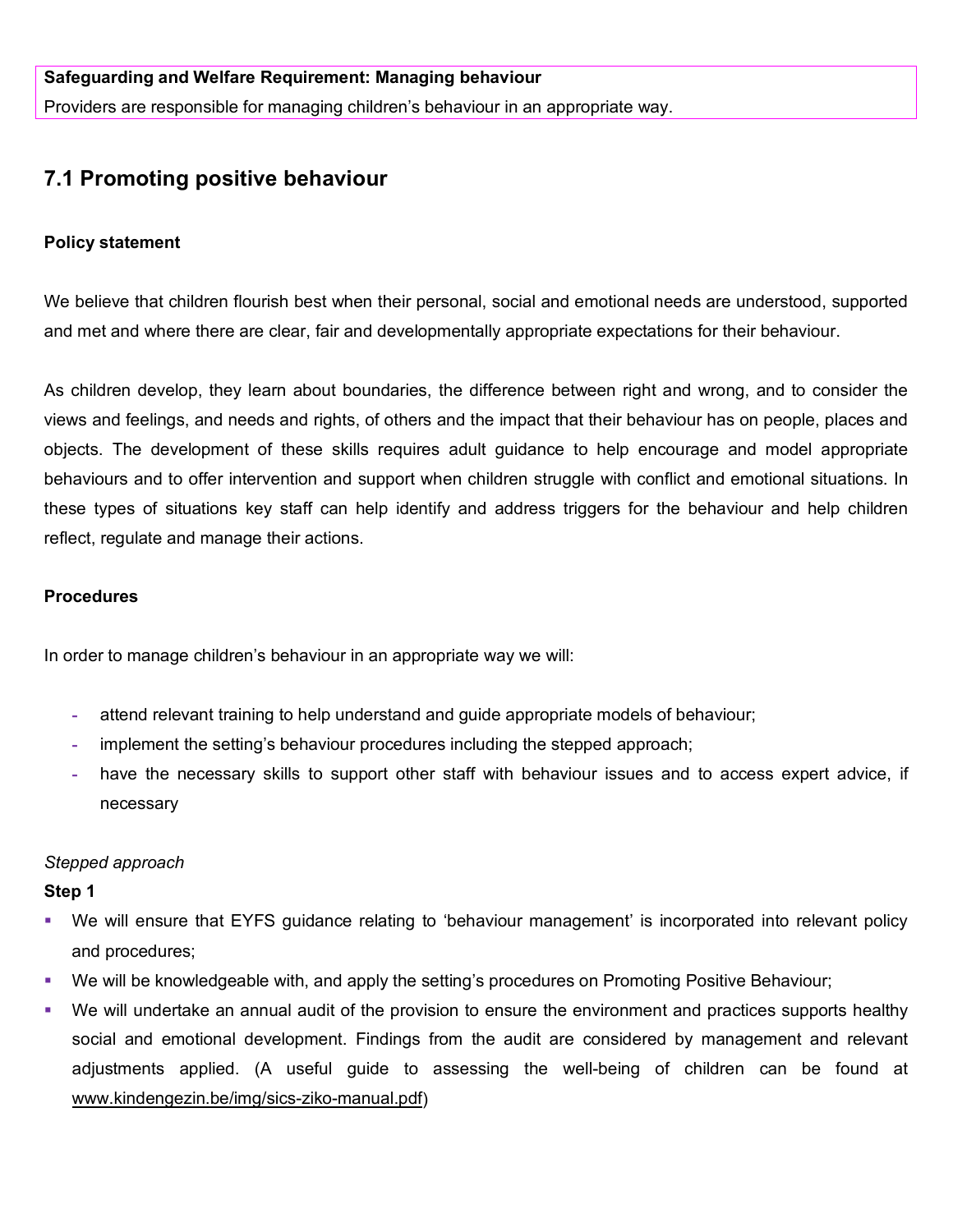Providers are responsible for managing children's behaviour in an appropriate way.

# **7.1 Promoting positive behaviour**

## **Policy statement**

We believe that children flourish best when their personal, social and emotional needs are understood, supported and met and where there are clear, fair and developmentally appropriate expectations for their behaviour.

As children develop, they learn about boundaries, the difference between right and wrong, and to consider the views and feelings, and needs and rights, of others and the impact that their behaviour has on people, places and objects. The development of these skills requires adult guidance to help encourage and model appropriate behaviours and to offer intervention and support when children struggle with conflict and emotional situations. In these types of situations key staff can help identify and address triggers for the behaviour and help children reflect, regulate and manage their actions.

## **Procedures**

In order to manage children's behaviour in an appropriate way we will:

- **-** attend relevant training to help understand and guide appropriate models of behaviour;
- **-** implement the setting's behaviour procedures including the stepped approach;
- **-** have the necessary skills to support other staff with behaviour issues and to access expert advice, if necessary

# *Stepped approach*

## **Step 1**

- We will ensure that EYFS guidance relating to 'behaviour management' is incorporated into relevant policy and procedures;
- We will be knowledgeable with, and apply the setting's procedures on Promoting Positive Behaviour;
- We will undertake an annual audit of the provision to ensure the environment and practices supports healthy social and emotional development. Findings from the audit are considered by management and relevant adjustments applied. (A useful guide to assessing the well-being of children can be found at [www.kindengezin.be/img/sics-ziko-manual.pdf\)](http://www.kindengezin.be/img/sics-ziko-manual.pdf)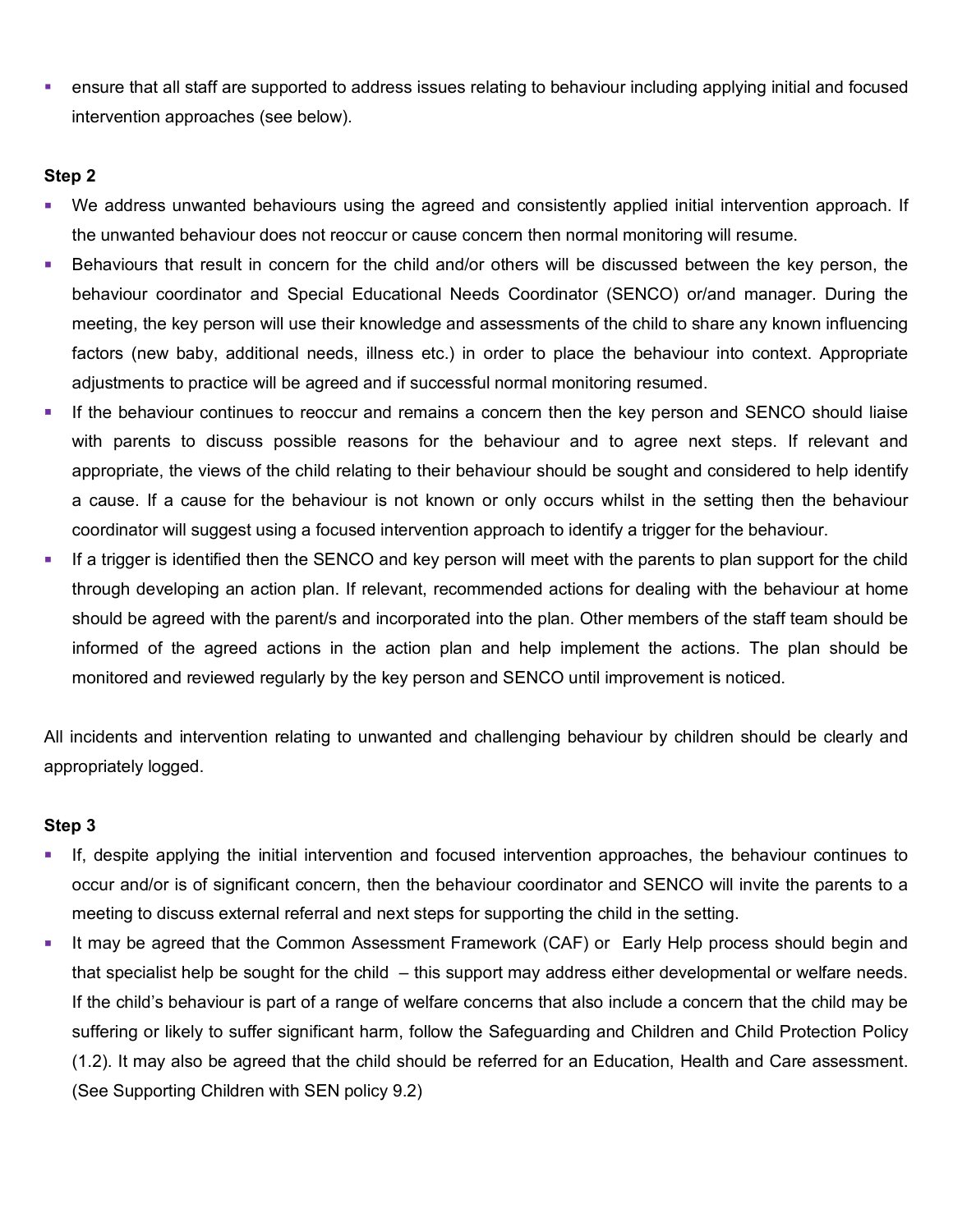ensure that all staff are supported to address issues relating to behaviour including applying initial and focused intervention approaches (see below).

# **Step 2**

- We address unwanted behaviours using the agreed and consistently applied initial intervention approach. If the unwanted behaviour does not reoccur or cause concern then normal monitoring will resume.
- Behaviours that result in concern for the child and/or others will be discussed between the key person, the behaviour coordinator and Special Educational Needs Coordinator (SENCO) or/and manager. During the meeting, the key person will use their knowledge and assessments of the child to share any known influencing factors (new baby, additional needs, illness etc.) in order to place the behaviour into context. Appropriate adjustments to practice will be agreed and if successful normal monitoring resumed.
- If the behaviour continues to reoccur and remains a concern then the key person and SENCO should liaise with parents to discuss possible reasons for the behaviour and to agree next steps. If relevant and appropriate, the views of the child relating to their behaviour should be sought and considered to help identify a cause. If a cause for the behaviour is not known or only occurs whilst in the setting then the behaviour coordinator will suggest using a focused intervention approach to identify a trigger for the behaviour.
- If a trigger is identified then the SENCO and key person will meet with the parents to plan support for the child through developing an action plan. If relevant, recommended actions for dealing with the behaviour at home should be agreed with the parent/s and incorporated into the plan. Other members of the staff team should be informed of the agreed actions in the action plan and help implement the actions. The plan should be monitored and reviewed regularly by the key person and SENCO until improvement is noticed.

All incidents and intervention relating to unwanted and challenging behaviour by children should be clearly and appropriately logged.

## **Step 3**

- If, despite applying the initial intervention and focused intervention approaches, the behaviour continues to occur and/or is of significant concern, then the behaviour coordinator and SENCO will invite the parents to a meeting to discuss external referral and next steps for supporting the child in the setting.
- It may be agreed that the Common Assessment Framework (CAF) or Early Help process should begin and that specialist help be sought for the child – this support may address either developmental or welfare needs. If the child's behaviour is part of a range of welfare concerns that also include a concern that the child may be suffering or likely to suffer significant harm, follow the Safeguarding and Children and Child Protection Policy (1.2). It may also be agreed that the child should be referred for an Education, Health and Care assessment. (See Supporting Children with SEN policy 9.2)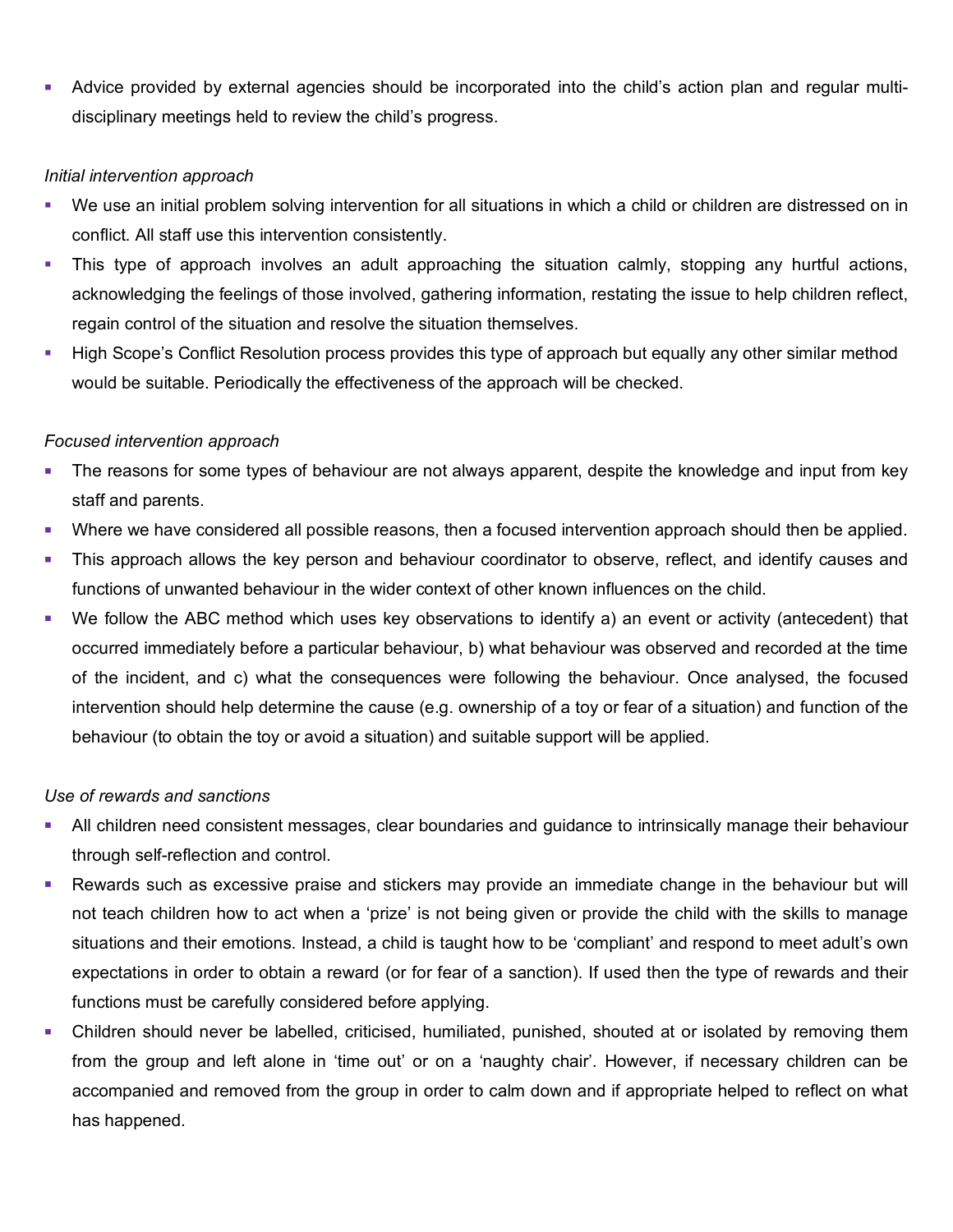Advice provided by external agencies should be incorporated into the child's action plan and regular multidisciplinary meetings held to review the child's progress.

# *Initial intervention approach*

- We use an initial problem solving intervention for all situations in which a child or children are distressed on in conflict. All staff use this intervention consistently.
- This type of approach involves an adult approaching the situation calmly, stopping any hurtful actions, acknowledging the feelings of those involved, gathering information, restating the issue to help children reflect, regain control of the situation and resolve the situation themselves.
- High Scope's Conflict Resolution process provides this type of approach but equally any other similar method would be suitable. Periodically the effectiveness of the approach will be checked.

# *Focused intervention approach*

- The reasons for some types of behaviour are not always apparent, despite the knowledge and input from key staff and parents.
- Where we have considered all possible reasons, then a focused intervention approach should then be applied.
- This approach allows the key person and behaviour coordinator to observe, reflect, and identify causes and functions of unwanted behaviour in the wider context of other known influences on the child.
- We follow the ABC method which uses key observations to identify a) an event or activity (antecedent) that occurred immediately before a particular behaviour, b) what behaviour was observed and recorded at the time of the incident, and c) what the consequences were following the behaviour. Once analysed, the focused intervention should help determine the cause (e.g. ownership of a toy or fear of a situation) and function of the behaviour (to obtain the toy or avoid a situation) and suitable support will be applied.

# *Use of rewards and sanctions*

- All children need consistent messages, clear boundaries and guidance to intrinsically manage their behaviour through self-reflection and control.
- Rewards such as excessive praise and stickers may provide an immediate change in the behaviour but will not teach children how to act when a 'prize' is not being given or provide the child with the skills to manage situations and their emotions. Instead, a child is taught how to be 'compliant' and respond to meet adult's own expectations in order to obtain a reward (or for fear of a sanction). If used then the type of rewards and their functions must be carefully considered before applying.
- Children should never be labelled, criticised, humiliated, punished, shouted at or isolated by removing them from the group and left alone in 'time out' or on a 'naughty chair'. However, if necessary children can be accompanied and removed from the group in order to calm down and if appropriate helped to reflect on what has happened.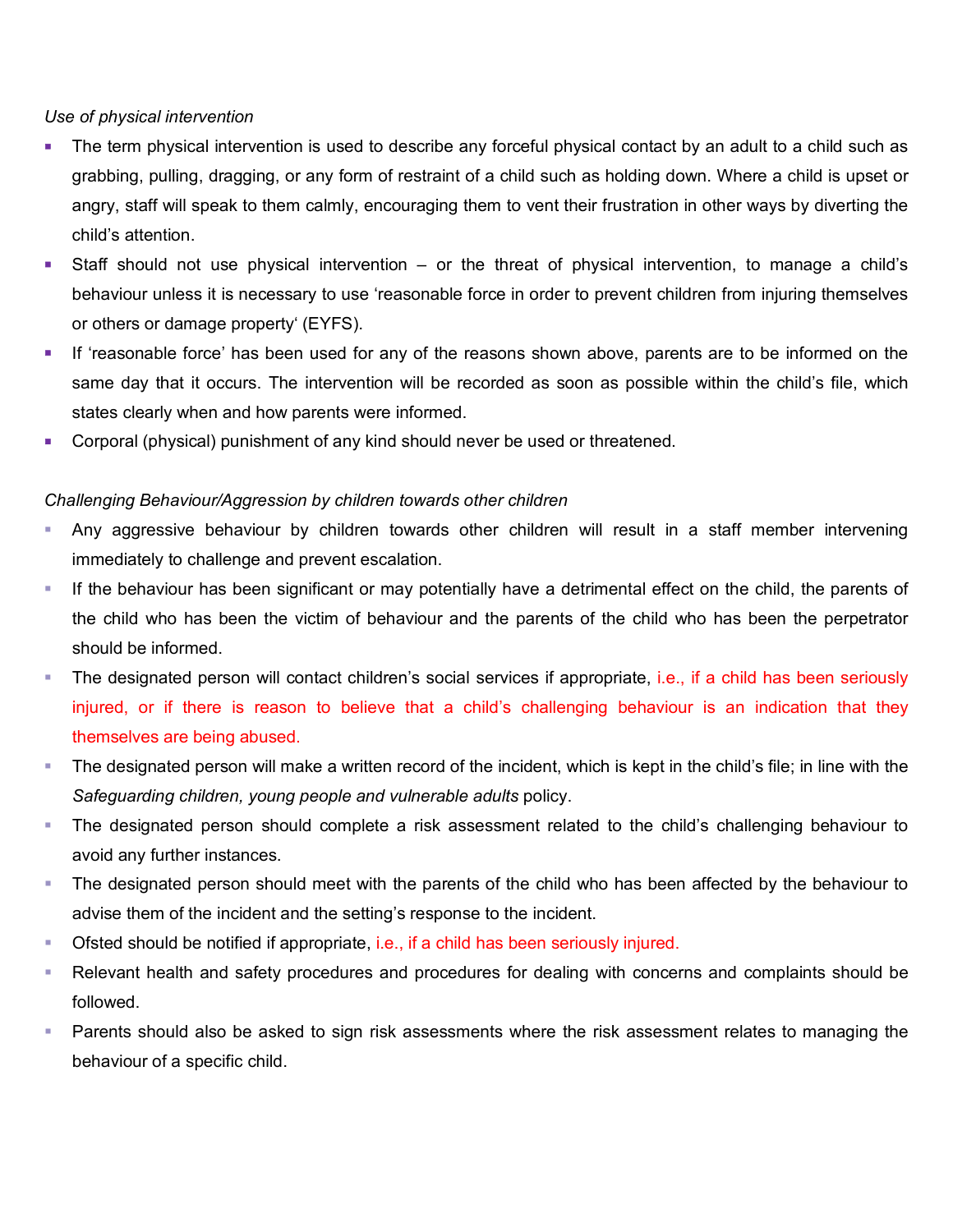# *Use of physical intervention*

- The term physical intervention is used to describe any forceful physical contact by an adult to a child such as grabbing, pulling, dragging, or any form of restraint of a child such as holding down. Where a child is upset or angry, staff will speak to them calmly, encouraging them to vent their frustration in other ways by diverting the child's attention.
- Staff should not use physical intervention or the threat of physical intervention, to manage a child's behaviour unless it is necessary to use 'reasonable force in order to prevent children from injuring themselves or others or damage property' (EYFS).
- If 'reasonable force' has been used for any of the reasons shown above, parents are to be informed on the same day that it occurs. The intervention will be recorded as soon as possible within the child's file, which states clearly when and how parents were informed.
- Corporal (physical) punishment of any kind should never be used or threatened.

# *Challenging Behaviour/Aggression by children towards other children*

- Any aggressive behaviour by children towards other children will result in a staff member intervening immediately to challenge and prevent escalation.
- If the behaviour has been significant or may potentially have a detrimental effect on the child, the parents of the child who has been the victim of behaviour and the parents of the child who has been the perpetrator should be informed.
- The designated person will contact children's social services if appropriate, i.e., if a child has been seriously injured, or if there is reason to believe that a child's challenging behaviour is an indication that they themselves are being abused.
- The designated person will make a written record of the incident, which is kept in the child's file; in line with the *Safeguarding children, young people and vulnerable adults* policy.
- The designated person should complete a risk assessment related to the child's challenging behaviour to avoid any further instances.
- The designated person should meet with the parents of the child who has been affected by the behaviour to advise them of the incident and the setting's response to the incident.
- Ofsted should be notified if appropriate, i.e., if a child has been seriously injured.
- Relevant health and safety procedures and procedures for dealing with concerns and complaints should be followed.
- Parents should also be asked to sign risk assessments where the risk assessment relates to managing the behaviour of a specific child.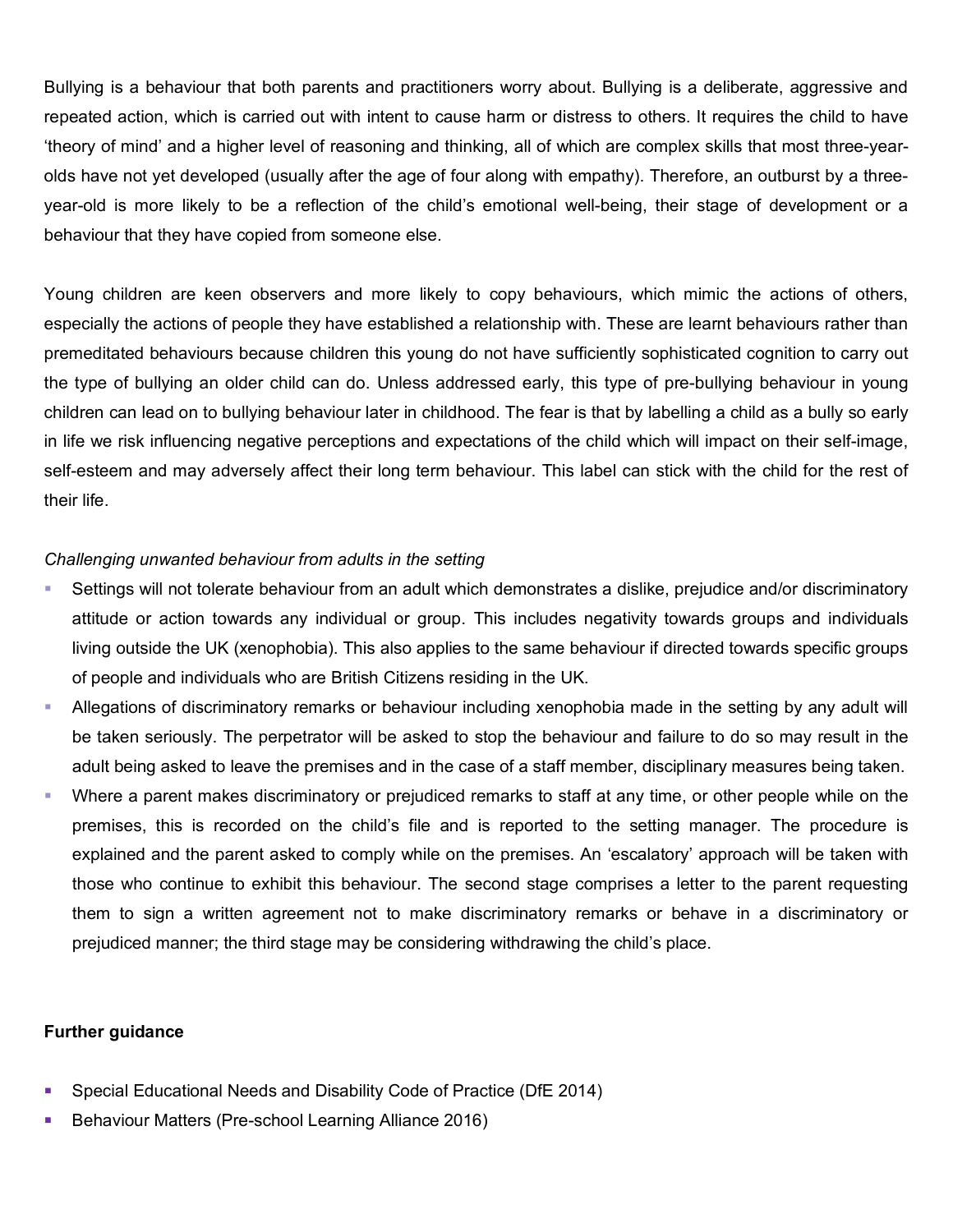Bullying is a behaviour that both parents and practitioners worry about. Bullying is a deliberate, aggressive and repeated action, which is carried out with intent to cause harm or distress to others. It requires the child to have 'theory of mind' and a higher level of reasoning and thinking, all of which are complex skills that most three-yearolds have not yet developed (usually after the age of four along with empathy). Therefore, an outburst by a threeyear-old is more likely to be a reflection of the child's emotional well-being, their stage of development or a behaviour that they have copied from someone else.

Young children are keen observers and more likely to copy behaviours, which mimic the actions of others, especially the actions of people they have established a relationship with. These are learnt behaviours rather than premeditated behaviours because children this young do not have sufficiently sophisticated cognition to carry out the type of bullying an older child can do. Unless addressed early, this type of pre-bullying behaviour in young children can lead on to bullying behaviour later in childhood. The fear is that by labelling a child as a bully so early in life we risk influencing negative perceptions and expectations of the child which will impact on their self-image, self-esteem and may adversely affect their long term behaviour. This label can stick with the child for the rest of their life.

## *Challenging unwanted behaviour from adults in the setting*

- Settings will not tolerate behaviour from an adult which demonstrates a dislike, prejudice and/or discriminatory attitude or action towards any individual or group. This includes negativity towards groups and individuals living outside the UK (xenophobia). This also applies to the same behaviour if directed towards specific groups of people and individuals who are British Citizens residing in the UK.
- Allegations of discriminatory remarks or behaviour including xenophobia made in the setting by any adult will be taken seriously. The perpetrator will be asked to stop the behaviour and failure to do so may result in the adult being asked to leave the premises and in the case of a staff member, disciplinary measures being taken.
- Where a parent makes discriminatory or prejudiced remarks to staff at any time, or other people while on the premises, this is recorded on the child's file and is reported to the setting manager. The procedure is explained and the parent asked to comply while on the premises. An 'escalatory' approach will be taken with those who continue to exhibit this behaviour. The second stage comprises a letter to the parent requesting them to sign a written agreement not to make discriminatory remarks or behave in a discriminatory or prejudiced manner; the third stage may be considering withdrawing the child's place.

## **Further guidance**

- Special Educational Needs and Disability Code of Practice (DfE 2014)
- Behaviour Matters (Pre-school Learning Alliance 2016)